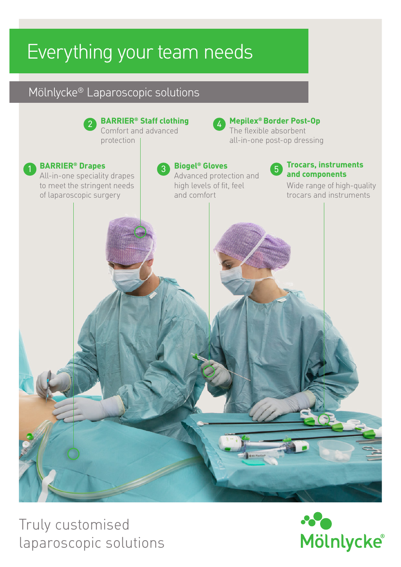# Everything your team needs

## Mölnlycke® Laparoscopic solutions



Truly customised laparoscopic solutions